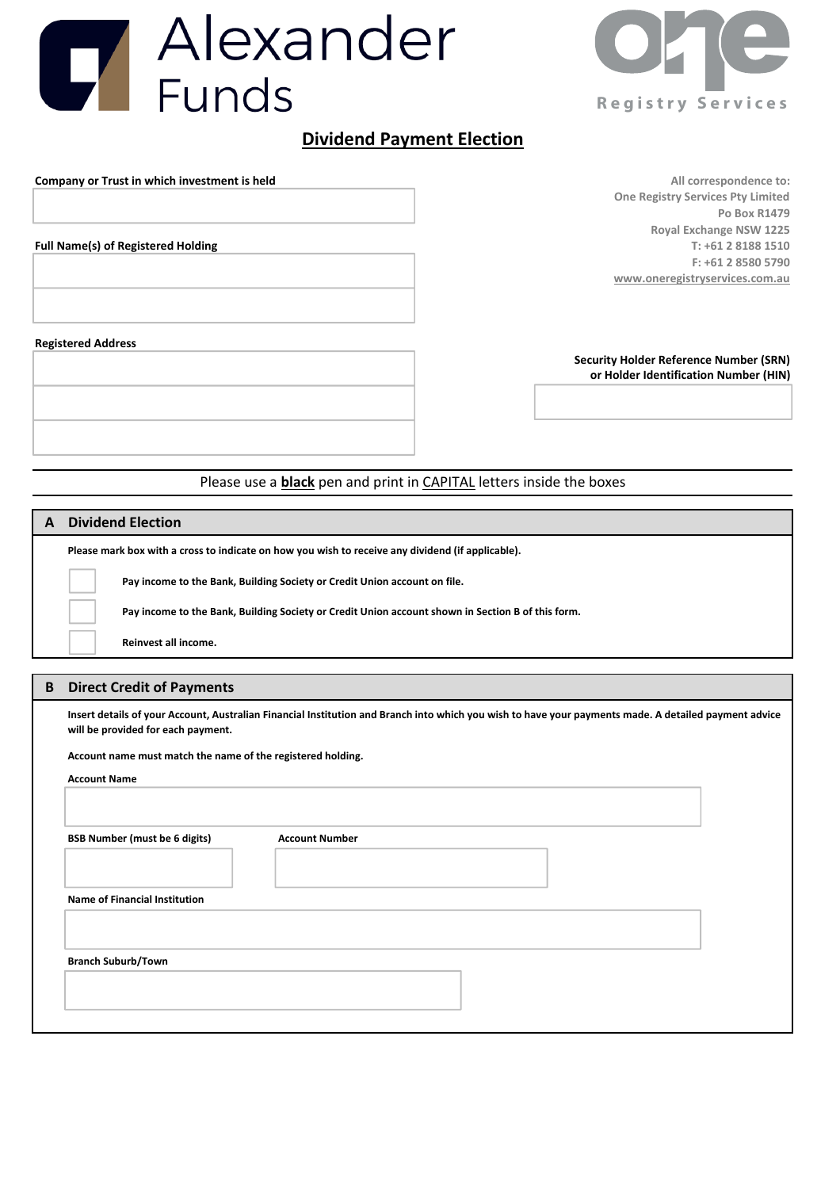



# Dividend Payment Election

Company or Trust in which investment is held All correspondence to: All correspondence to:

One Registry Services Pty Limited Po Box R1479 Royal Exchange NSW 1225 Full Name(s) of Registered Holding The State of Top Cases of Top Cases of Top Cases of T: +61 2 8188 1510 F: +61 2 8580 5790 www.oneregistryservices.com.au

#### Registered Address

Security Holder Reference Number (SRN) or Holder Identification Number (HIN)

# Please use a black pen and print in CAPITAL letters inside the boxes

### A Dividend Election

Please mark box with a cross to indicate on how

Pay income to the Bank, Building So

Pay income to the Bank, Building So

Reinvest all income.

## B Direct Credit of Payments

Insert details of your Account, Australian Financial Institution and Branch into which you wish to have your payments made. A detailed payment advice will be provided for each payment.

Account name must match the name of the registered holding.

Account Name

BSB Number (must be 6 digits) Account Number

Name of Financial Institution

Branch Suburb/Town

| vyou wish to receive any dividend (if applicable).             |  |
|----------------------------------------------------------------|--|
| ciety or Credit Union account on file.                         |  |
| ciety or Credit Union account shown in Section B of this form. |  |
|                                                                |  |